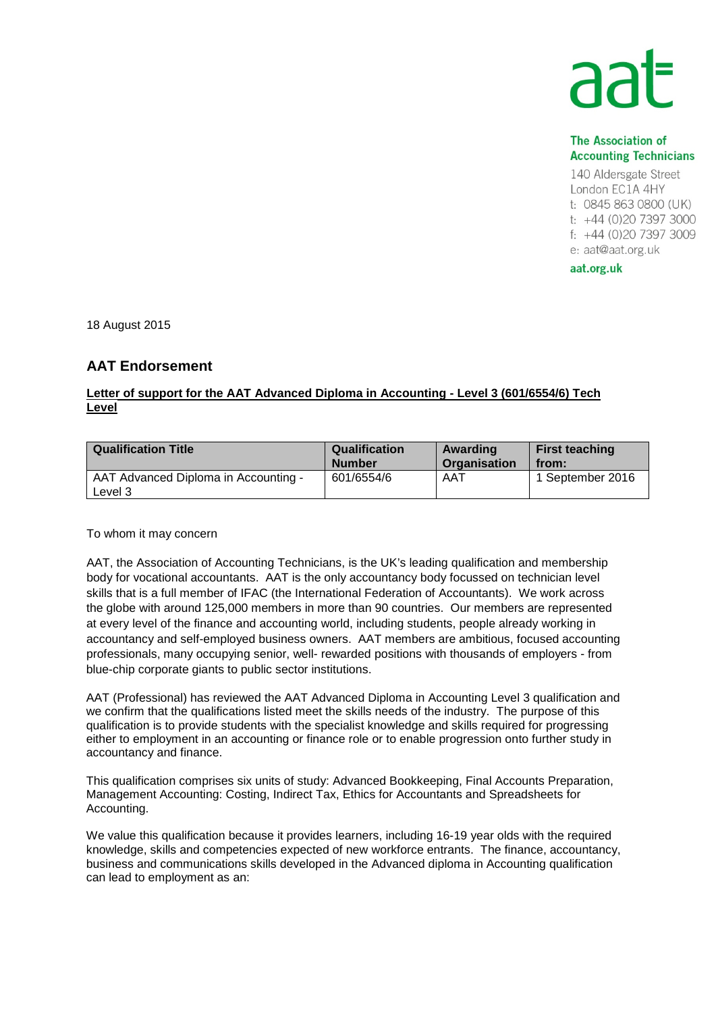## **The Association of Accounting Technicians**

140 Aldersgate Street London EC1A 4HY t: 0845 863 0800 (UK) t: +44 (0)20 7397 3000 f: +44 (0)20 7397 3009 e: aat@aat.org.uk

aat.org.uk

18 August 2015

## **AAT Endorsement**

## **Letter of support for the AAT Advanced Diploma in Accounting - Level 3 (601/6554/6) Tech Level**

| <b>Qualification Title</b>                      | <b>Qualification</b> | Awarding     | <b>First teaching</b> |
|-------------------------------------------------|----------------------|--------------|-----------------------|
|                                                 | <b>Number</b>        | Organisation | from:                 |
| AAT Advanced Diploma in Accounting -<br>Level 3 | 601/6554/6           | AAT          | 1 September 2016      |

To whom it may concern

AAT, the Association of Accounting Technicians, is the UK's leading qualification and membership body for vocational accountants. AAT is the only accountancy body focussed on technician level skills that is a full member of IFAC (the International Federation of Accountants). We work across the globe with around 125,000 members in more than 90 countries. Our members are represented at every level of the finance and accounting world, including students, people already working in accountancy and self-employed business owners. AAT members are ambitious, focused accounting professionals, many occupying senior, well- rewarded positions with thousands of employers - from blue-chip corporate giants to public sector institutions.

AAT (Professional) has reviewed the AAT Advanced Diploma in Accounting Level 3 qualification and we confirm that the qualifications listed meet the skills needs of the industry. The purpose of this qualification is to provide students with the specialist knowledge and skills required for progressing either to employment in an accounting or finance role or to enable progression onto further study in accountancy and finance.

This qualification comprises six units of study: Advanced Bookkeeping, Final Accounts Preparation, Management Accounting: Costing, Indirect Tax, Ethics for Accountants and Spreadsheets for Accounting.

We value this qualification because it provides learners, including 16-19 year olds with the required knowledge, skills and competencies expected of new workforce entrants. The finance, accountancy, business and communications skills developed in the Advanced diploma in Accounting qualification can lead to employment as an: